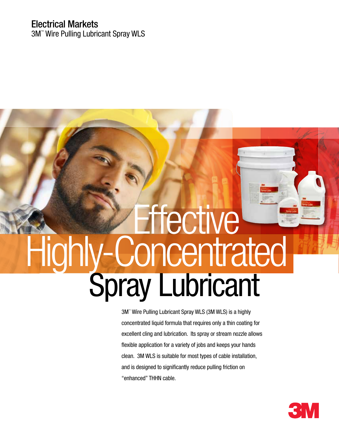# Electrical Markets

3M™ Wire Pulling Lubricant Spray WLS

# **ffective** Spray Lubricant Highly-Concentrated

3M™ Wire Pulling Lubricant Spray WLS (3M WLS) is a highly concentrated liquid formula that requires only a thin coating for excellent cling and lubrication. Its spray or stream nozzle allows flexible application for a variety of jobs and keeps your hands clean. 3M WLS is suitable for most types of cable installation, and is designed to significantly reduce pulling friction on "enhanced" THHN cable.